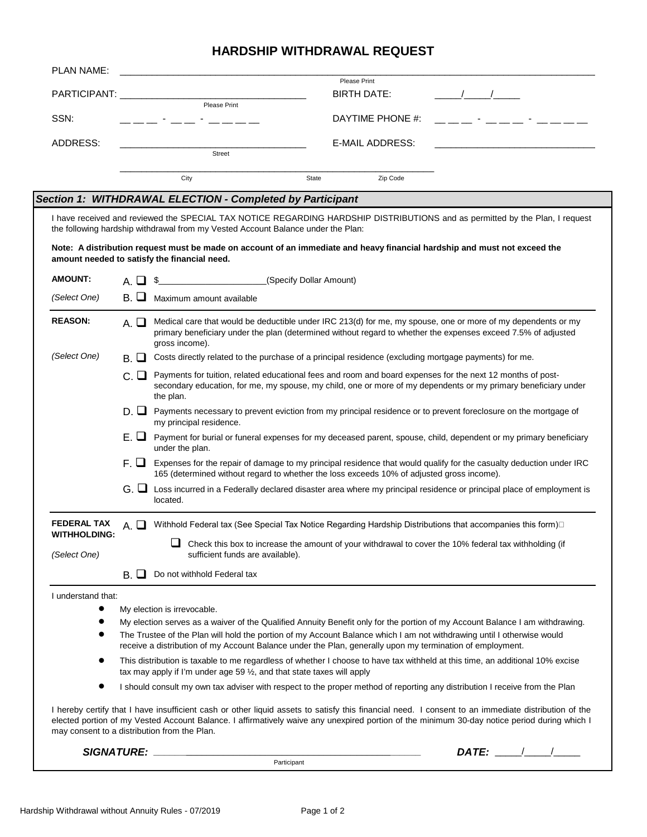## **HARDSHIP WITHDRAWAL REQUEST**

| PLAN NAME:                                                                                                                                                                       |                                                                                                                                                                                                                                                                |                                                                                                                                                                                                                                                                                                                                                     |                         |                    |  |                                                                                                                                                                                                                                                                                                                                                                          |  |
|----------------------------------------------------------------------------------------------------------------------------------------------------------------------------------|----------------------------------------------------------------------------------------------------------------------------------------------------------------------------------------------------------------------------------------------------------------|-----------------------------------------------------------------------------------------------------------------------------------------------------------------------------------------------------------------------------------------------------------------------------------------------------------------------------------------------------|-------------------------|--------------------|--|--------------------------------------------------------------------------------------------------------------------------------------------------------------------------------------------------------------------------------------------------------------------------------------------------------------------------------------------------------------------------|--|
|                                                                                                                                                                                  |                                                                                                                                                                                                                                                                |                                                                                                                                                                                                                                                                                                                                                     |                         | Please Print       |  |                                                                                                                                                                                                                                                                                                                                                                          |  |
| PARTICIPANT: __________                                                                                                                                                          |                                                                                                                                                                                                                                                                | Please Print                                                                                                                                                                                                                                                                                                                                        |                         | <b>BIRTH DATE:</b> |  |                                                                                                                                                                                                                                                                                                                                                                          |  |
| SSN:                                                                                                                                                                             |                                                                                                                                                                                                                                                                |                                                                                                                                                                                                                                                                                                                                                     |                         | DAYTIME PHONE #:   |  |                                                                                                                                                                                                                                                                                                                                                                          |  |
| <b>ADDRESS:</b>                                                                                                                                                                  |                                                                                                                                                                                                                                                                | Street                                                                                                                                                                                                                                                                                                                                              |                         | E-MAIL ADDRESS:    |  |                                                                                                                                                                                                                                                                                                                                                                          |  |
|                                                                                                                                                                                  |                                                                                                                                                                                                                                                                |                                                                                                                                                                                                                                                                                                                                                     |                         |                    |  |                                                                                                                                                                                                                                                                                                                                                                          |  |
|                                                                                                                                                                                  |                                                                                                                                                                                                                                                                | City                                                                                                                                                                                                                                                                                                                                                | State                   | Zip Code           |  |                                                                                                                                                                                                                                                                                                                                                                          |  |
|                                                                                                                                                                                  |                                                                                                                                                                                                                                                                | Section 1: WITHDRAWAL ELECTION - Completed by Participant                                                                                                                                                                                                                                                                                           |                         |                    |  |                                                                                                                                                                                                                                                                                                                                                                          |  |
|                                                                                                                                                                                  |                                                                                                                                                                                                                                                                | I have received and reviewed the SPECIAL TAX NOTICE REGARDING HARDSHIP DISTRIBUTIONS and as permitted by the Plan, I request<br>the following hardship withdrawal from my Vested Account Balance under the Plan:                                                                                                                                    |                         |                    |  |                                                                                                                                                                                                                                                                                                                                                                          |  |
|                                                                                                                                                                                  |                                                                                                                                                                                                                                                                | Note: A distribution request must be made on account of an immediate and heavy financial hardship and must not exceed the<br>amount needed to satisfy the financial need.                                                                                                                                                                           |                         |                    |  |                                                                                                                                                                                                                                                                                                                                                                          |  |
| <b>AMOUNT:</b>                                                                                                                                                                   | $A.$ $\Box$                                                                                                                                                                                                                                                    | \$                                                                                                                                                                                                                                                                                                                                                  | (Specify Dollar Amount) |                    |  |                                                                                                                                                                                                                                                                                                                                                                          |  |
| (Select One)                                                                                                                                                                     | В. Ш.                                                                                                                                                                                                                                                          | Maximum amount available                                                                                                                                                                                                                                                                                                                            |                         |                    |  |                                                                                                                                                                                                                                                                                                                                                                          |  |
| <b>REASON:</b>                                                                                                                                                                   | Medical care that would be deductible under IRC 213(d) for me, my spouse, one or more of my dependents or my<br>$A.$ $\Box$<br>primary beneficiary under the plan (determined without regard to whether the expenses exceed 7.5% of adjusted<br>gross income). |                                                                                                                                                                                                                                                                                                                                                     |                         |                    |  |                                                                                                                                                                                                                                                                                                                                                                          |  |
| (Select One)                                                                                                                                                                     | Costs directly related to the purchase of a principal residence (excluding mortgage payments) for me.<br>В. Ш.                                                                                                                                                 |                                                                                                                                                                                                                                                                                                                                                     |                         |                    |  |                                                                                                                                                                                                                                                                                                                                                                          |  |
|                                                                                                                                                                                  | Payments for tuition, related educational fees and room and board expenses for the next 12 months of post-<br>с ш<br>secondary education, for me, my spouse, my child, one or more of my dependents or my primary beneficiary under<br>the plan.               |                                                                                                                                                                                                                                                                                                                                                     |                         |                    |  |                                                                                                                                                                                                                                                                                                                                                                          |  |
|                                                                                                                                                                                  |                                                                                                                                                                                                                                                                | D. ■ Payments necessary to prevent eviction from my principal residence or to prevent foreclosure on the mortgage of<br>my principal residence.                                                                                                                                                                                                     |                         |                    |  |                                                                                                                                                                                                                                                                                                                                                                          |  |
|                                                                                                                                                                                  |                                                                                                                                                                                                                                                                | E. ■ Payment for burial or funeral expenses for my deceased parent, spouse, child, dependent or my primary beneficiary<br>under the plan.                                                                                                                                                                                                           |                         |                    |  |                                                                                                                                                                                                                                                                                                                                                                          |  |
|                                                                                                                                                                                  |                                                                                                                                                                                                                                                                | $F.$ Expenses for the repair of damage to my principal residence that would qualify for the casualty deduction under IRC<br>165 (determined without regard to whether the loss exceeds 10% of adjusted gross income).                                                                                                                               |                         |                    |  |                                                                                                                                                                                                                                                                                                                                                                          |  |
|                                                                                                                                                                                  | $G.$ $\Box$                                                                                                                                                                                                                                                    | Loss incurred in a Federally declared disaster area where my principal residence or principal place of employment is<br>located.                                                                                                                                                                                                                    |                         |                    |  |                                                                                                                                                                                                                                                                                                                                                                          |  |
| <b>FEDERAL TAX</b>                                                                                                                                                               | Withhold Federal tax (See Special Tax Notice Regarding Hardship Distributions that accompanies this form)□<br>$A.$ $\Box$                                                                                                                                      |                                                                                                                                                                                                                                                                                                                                                     |                         |                    |  |                                                                                                                                                                                                                                                                                                                                                                          |  |
| <b>WITHHOLDING:</b><br>Check this box to increase the amount of your withdrawal to cover the 10% federal tax withholding (if<br>(Select One)<br>sufficient funds are available). |                                                                                                                                                                                                                                                                |                                                                                                                                                                                                                                                                                                                                                     |                         |                    |  |                                                                                                                                                                                                                                                                                                                                                                          |  |
|                                                                                                                                                                                  | $B. \Box$                                                                                                                                                                                                                                                      | Do not withhold Federal tax                                                                                                                                                                                                                                                                                                                         |                         |                    |  |                                                                                                                                                                                                                                                                                                                                                                          |  |
| I understand that:                                                                                                                                                               |                                                                                                                                                                                                                                                                |                                                                                                                                                                                                                                                                                                                                                     |                         |                    |  |                                                                                                                                                                                                                                                                                                                                                                          |  |
|                                                                                                                                                                                  |                                                                                                                                                                                                                                                                | My election is irrevocable.                                                                                                                                                                                                                                                                                                                         |                         |                    |  |                                                                                                                                                                                                                                                                                                                                                                          |  |
| $\bullet$                                                                                                                                                                        |                                                                                                                                                                                                                                                                | My election serves as a waiver of the Qualified Annuity Benefit only for the portion of my Account Balance I am withdrawing.                                                                                                                                                                                                                        |                         |                    |  |                                                                                                                                                                                                                                                                                                                                                                          |  |
|                                                                                                                                                                                  |                                                                                                                                                                                                                                                                | The Trustee of the Plan will hold the portion of my Account Balance which I am not withdrawing until I otherwise would<br>receive a distribution of my Account Balance under the Plan, generally upon my termination of employment.                                                                                                                 |                         |                    |  |                                                                                                                                                                                                                                                                                                                                                                          |  |
| $\bullet$                                                                                                                                                                        | This distribution is taxable to me regardless of whether I choose to have tax withheld at this time, an additional 10% excise<br>tax may apply if I'm under age 59 $\frac{1}{2}$ , and that state taxes will apply                                             |                                                                                                                                                                                                                                                                                                                                                     |                         |                    |  |                                                                                                                                                                                                                                                                                                                                                                          |  |
| $\bullet$                                                                                                                                                                        |                                                                                                                                                                                                                                                                | I should consult my own tax adviser with respect to the proper method of reporting any distribution I receive from the Plan                                                                                                                                                                                                                         |                         |                    |  |                                                                                                                                                                                                                                                                                                                                                                          |  |
|                                                                                                                                                                                  |                                                                                                                                                                                                                                                                | I hereby certify that I have insufficient cash or other liquid assets to satisfy this financial need. I consent to an immediate distribution of the<br>elected portion of my Vested Account Balance. I affirmatively waive any unexpired portion of the minimum 30-day notice period during which I<br>may consent to a distribution from the Plan. |                         |                    |  |                                                                                                                                                                                                                                                                                                                                                                          |  |
|                                                                                                                                                                                  |                                                                                                                                                                                                                                                                |                                                                                                                                                                                                                                                                                                                                                     |                         |                    |  | $\mathsf{DATE:}\begin{picture}(2,0) \put(0,0){\dashbox{0.5}(1,0){ }} \put(1.5,0){\dashbox{0.5}(1,0){ }} \put(2.5,0){\dashbox{0.5}(1,0){ }} \put(3.5,0){\dashbox{0.5}(1,0){ }} \put(4.5,0){\dashbox{0.5}(1,0){ }} \put(5.5,0){\dashbox{0.5}(1,0){ }} \put(6.5,0){\dashbox{0.5}(1,0){ }} \put(6.5,0){\dashbox{0.5}(1,0){ }} \put(6.5,0){\dashbox{0.5}(1,0){ }} \put(6.5,0$ |  |
|                                                                                                                                                                                  |                                                                                                                                                                                                                                                                |                                                                                                                                                                                                                                                                                                                                                     | Participant             |                    |  |                                                                                                                                                                                                                                                                                                                                                                          |  |